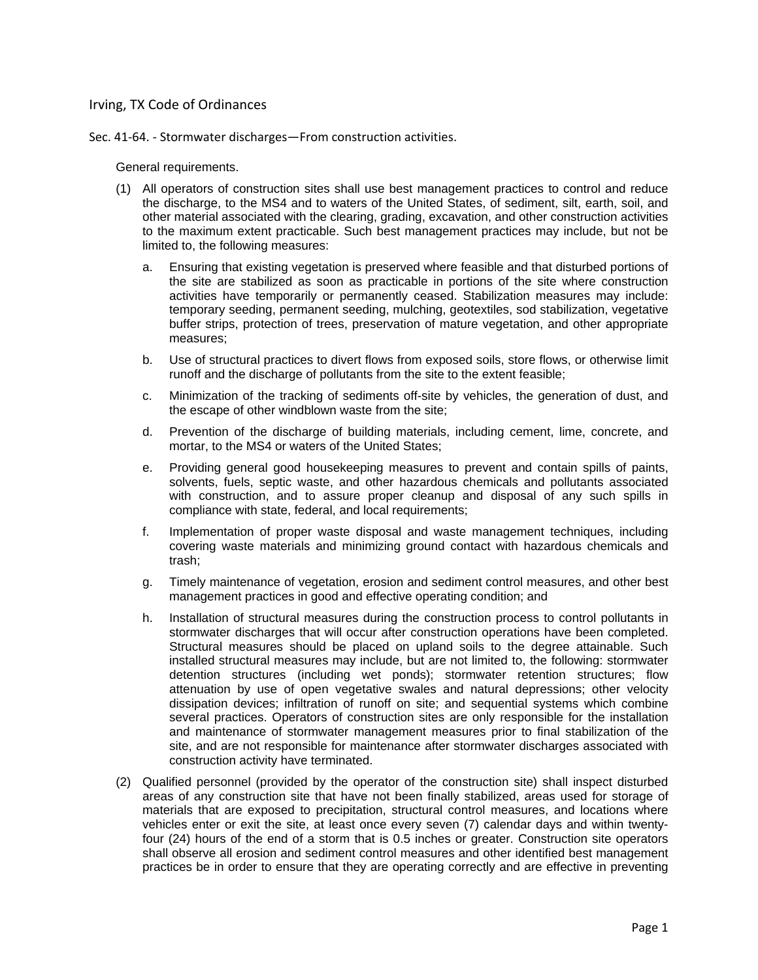## Irving, TX Code of Ordinances

Sec. 41‐64. ‐ Stormwater discharges—From construction activities.

General requirements.

- (1) All operators of construction sites shall use best management practices to control and reduce the discharge, to the MS4 and to waters of the United States, of sediment, silt, earth, soil, and other material associated with the clearing, grading, excavation, and other construction activities to the maximum extent practicable. Such best management practices may include, but not be limited to, the following measures:
	- a. Ensuring that existing vegetation is preserved where feasible and that disturbed portions of the site are stabilized as soon as practicable in portions of the site where construction activities have temporarily or permanently ceased. Stabilization measures may include: temporary seeding, permanent seeding, mulching, geotextiles, sod stabilization, vegetative buffer strips, protection of trees, preservation of mature vegetation, and other appropriate measures;
	- b. Use of structural practices to divert flows from exposed soils, store flows, or otherwise limit runoff and the discharge of pollutants from the site to the extent feasible;
	- c. Minimization of the tracking of sediments off-site by vehicles, the generation of dust, and the escape of other windblown waste from the site;
	- d. Prevention of the discharge of building materials, including cement, lime, concrete, and mortar, to the MS4 or waters of the United States;
	- e. Providing general good housekeeping measures to prevent and contain spills of paints, solvents, fuels, septic waste, and other hazardous chemicals and pollutants associated with construction, and to assure proper cleanup and disposal of any such spills in compliance with state, federal, and local requirements;
	- f. Implementation of proper waste disposal and waste management techniques, including covering waste materials and minimizing ground contact with hazardous chemicals and trash;
	- g. Timely maintenance of vegetation, erosion and sediment control measures, and other best management practices in good and effective operating condition; and
	- h. Installation of structural measures during the construction process to control pollutants in stormwater discharges that will occur after construction operations have been completed. Structural measures should be placed on upland soils to the degree attainable. Such installed structural measures may include, but are not limited to, the following: stormwater detention structures (including wet ponds); stormwater retention structures; flow attenuation by use of open vegetative swales and natural depressions; other velocity dissipation devices; infiltration of runoff on site; and sequential systems which combine several practices. Operators of construction sites are only responsible for the installation and maintenance of stormwater management measures prior to final stabilization of the site, and are not responsible for maintenance after stormwater discharges associated with construction activity have terminated.
- (2) Qualified personnel (provided by the operator of the construction site) shall inspect disturbed areas of any construction site that have not been finally stabilized, areas used for storage of materials that are exposed to precipitation, structural control measures, and locations where vehicles enter or exit the site, at least once every seven (7) calendar days and within twentyfour (24) hours of the end of a storm that is 0.5 inches or greater. Construction site operators shall observe all erosion and sediment control measures and other identified best management practices be in order to ensure that they are operating correctly and are effective in preventing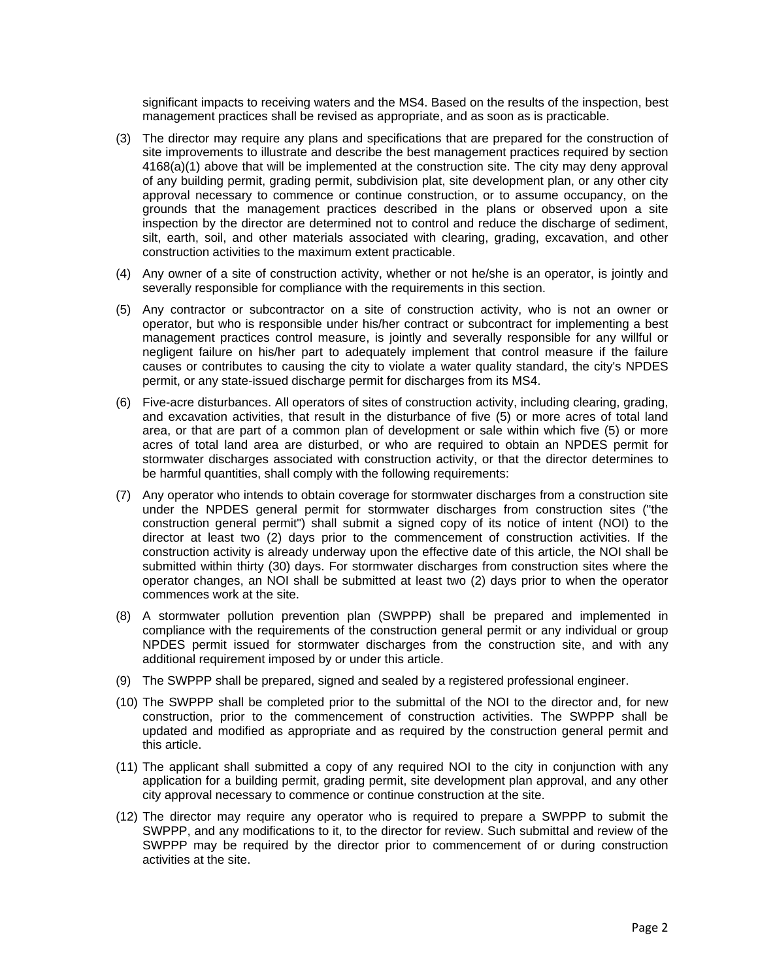significant impacts to receiving waters and the MS4. Based on the results of the inspection, best management practices shall be revised as appropriate, and as soon as is practicable.

- (3) The director may require any plans and specifications that are prepared for the construction of site improvements to illustrate and describe the best management practices required by section 4168(a)(1) above that will be implemented at the construction site. The city may deny approval of any building permit, grading permit, subdivision plat, site development plan, or any other city approval necessary to commence or continue construction, or to assume occupancy, on the grounds that the management practices described in the plans or observed upon a site inspection by the director are determined not to control and reduce the discharge of sediment, silt, earth, soil, and other materials associated with clearing, grading, excavation, and other construction activities to the maximum extent practicable.
- (4) Any owner of a site of construction activity, whether or not he/she is an operator, is jointly and severally responsible for compliance with the requirements in this section.
- (5) Any contractor or subcontractor on a site of construction activity, who is not an owner or operator, but who is responsible under his/her contract or subcontract for implementing a best management practices control measure, is jointly and severally responsible for any willful or negligent failure on his/her part to adequately implement that control measure if the failure causes or contributes to causing the city to violate a water quality standard, the city's NPDES permit, or any state-issued discharge permit for discharges from its MS4.
- (6) Five-acre disturbances. All operators of sites of construction activity, including clearing, grading, and excavation activities, that result in the disturbance of five (5) or more acres of total land area, or that are part of a common plan of development or sale within which five (5) or more acres of total land area are disturbed, or who are required to obtain an NPDES permit for stormwater discharges associated with construction activity, or that the director determines to be harmful quantities, shall comply with the following requirements:
- (7) Any operator who intends to obtain coverage for stormwater discharges from a construction site under the NPDES general permit for stormwater discharges from construction sites ("the construction general permit") shall submit a signed copy of its notice of intent (NOI) to the director at least two (2) days prior to the commencement of construction activities. If the construction activity is already underway upon the effective date of this article, the NOI shall be submitted within thirty (30) days. For stormwater discharges from construction sites where the operator changes, an NOI shall be submitted at least two (2) days prior to when the operator commences work at the site.
- (8) A stormwater pollution prevention plan (SWPPP) shall be prepared and implemented in compliance with the requirements of the construction general permit or any individual or group NPDES permit issued for stormwater discharges from the construction site, and with any additional requirement imposed by or under this article.
- (9) The SWPPP shall be prepared, signed and sealed by a registered professional engineer.
- (10) The SWPPP shall be completed prior to the submittal of the NOI to the director and, for new construction, prior to the commencement of construction activities. The SWPPP shall be updated and modified as appropriate and as required by the construction general permit and this article.
- (11) The applicant shall submitted a copy of any required NOI to the city in conjunction with any application for a building permit, grading permit, site development plan approval, and any other city approval necessary to commence or continue construction at the site.
- (12) The director may require any operator who is required to prepare a SWPPP to submit the SWPPP, and any modifications to it, to the director for review. Such submittal and review of the SWPPP may be required by the director prior to commencement of or during construction activities at the site.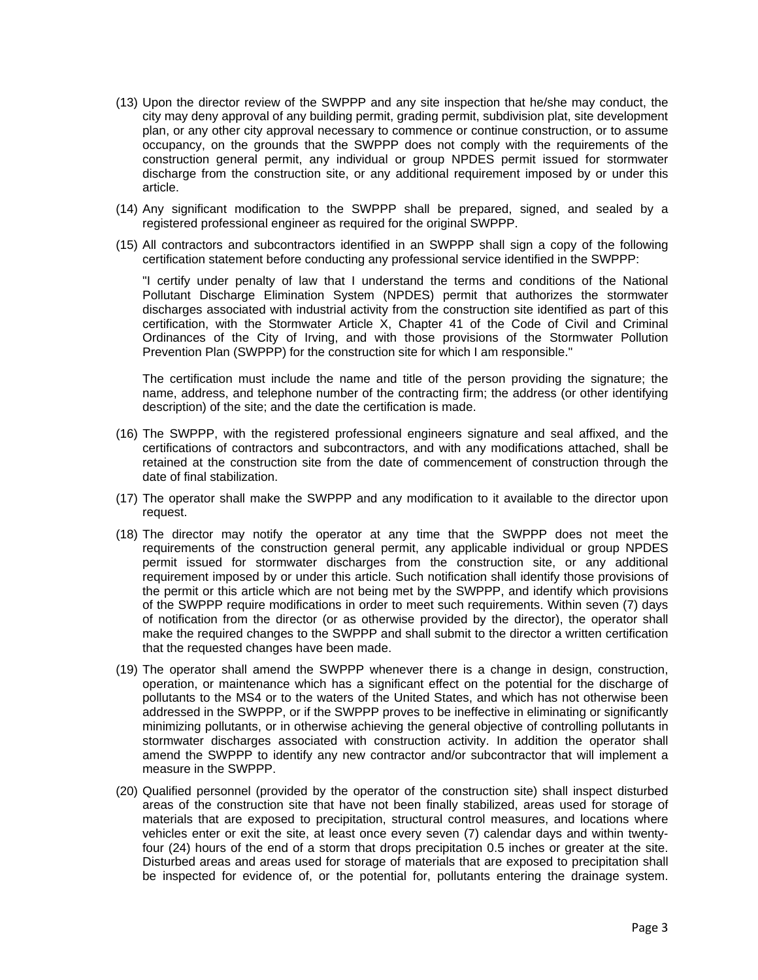- (13) Upon the director review of the SWPPP and any site inspection that he/she may conduct, the city may deny approval of any building permit, grading permit, subdivision plat, site development plan, or any other city approval necessary to commence or continue construction, or to assume occupancy, on the grounds that the SWPPP does not comply with the requirements of the construction general permit, any individual or group NPDES permit issued for stormwater discharge from the construction site, or any additional requirement imposed by or under this article.
- (14) Any significant modification to the SWPPP shall be prepared, signed, and sealed by a registered professional engineer as required for the original SWPPP.
- (15) All contractors and subcontractors identified in an SWPPP shall sign a copy of the following certification statement before conducting any professional service identified in the SWPPP:

"I certify under penalty of law that I understand the terms and conditions of the National Pollutant Discharge Elimination System (NPDES) permit that authorizes the stormwater discharges associated with industrial activity from the construction site identified as part of this certification, with the Stormwater Article X, Chapter 41 of the Code of Civil and Criminal Ordinances of the City of Irving, and with those provisions of the Stormwater Pollution Prevention Plan (SWPPP) for the construction site for which I am responsible."

The certification must include the name and title of the person providing the signature; the name, address, and telephone number of the contracting firm; the address (or other identifying description) of the site; and the date the certification is made.

- (16) The SWPPP, with the registered professional engineers signature and seal affixed, and the certifications of contractors and subcontractors, and with any modifications attached, shall be retained at the construction site from the date of commencement of construction through the date of final stabilization.
- (17) The operator shall make the SWPPP and any modification to it available to the director upon request.
- (18) The director may notify the operator at any time that the SWPPP does not meet the requirements of the construction general permit, any applicable individual or group NPDES permit issued for stormwater discharges from the construction site, or any additional requirement imposed by or under this article. Such notification shall identify those provisions of the permit or this article which are not being met by the SWPPP, and identify which provisions of the SWPPP require modifications in order to meet such requirements. Within seven (7) days of notification from the director (or as otherwise provided by the director), the operator shall make the required changes to the SWPPP and shall submit to the director a written certification that the requested changes have been made.
- (19) The operator shall amend the SWPPP whenever there is a change in design, construction, operation, or maintenance which has a significant effect on the potential for the discharge of pollutants to the MS4 or to the waters of the United States, and which has not otherwise been addressed in the SWPPP, or if the SWPPP proves to be ineffective in eliminating or significantly minimizing pollutants, or in otherwise achieving the general objective of controlling pollutants in stormwater discharges associated with construction activity. In addition the operator shall amend the SWPPP to identify any new contractor and/or subcontractor that will implement a measure in the SWPPP.
- (20) Qualified personnel (provided by the operator of the construction site) shall inspect disturbed areas of the construction site that have not been finally stabilized, areas used for storage of materials that are exposed to precipitation, structural control measures, and locations where vehicles enter or exit the site, at least once every seven (7) calendar days and within twentyfour (24) hours of the end of a storm that drops precipitation 0.5 inches or greater at the site. Disturbed areas and areas used for storage of materials that are exposed to precipitation shall be inspected for evidence of, or the potential for, pollutants entering the drainage system.